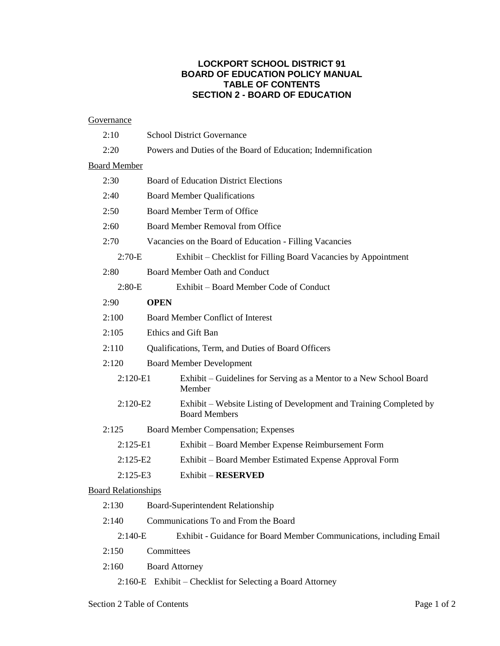## **LOCKPORT SCHOOL DISTRICT 91 BOARD OF EDUCATION POLICY MANUAL TABLE OF CONTENTS SECTION 2 - BOARD OF EDUCATION**

### **Governance**

|                     | 2:10                       | <b>School District Governance</b>                                                          |  |
|---------------------|----------------------------|--------------------------------------------------------------------------------------------|--|
|                     | 2:20                       | Powers and Duties of the Board of Education; Indemnification                               |  |
| <b>Board Member</b> |                            |                                                                                            |  |
|                     | 2:30                       | <b>Board of Education District Elections</b>                                               |  |
|                     | 2:40                       | <b>Board Member Qualifications</b>                                                         |  |
|                     | 2:50                       | Board Member Term of Office                                                                |  |
|                     | 2:60                       | Board Member Removal from Office                                                           |  |
|                     | 2:70                       | Vacancies on the Board of Education - Filling Vacancies                                    |  |
|                     | $2:70-E$                   | Exhibit – Checklist for Filling Board Vacancies by Appointment                             |  |
|                     | 2:80                       | <b>Board Member Oath and Conduct</b>                                                       |  |
|                     | $2:80-E$                   | Exhibit – Board Member Code of Conduct                                                     |  |
|                     | 2:90                       | <b>OPEN</b>                                                                                |  |
|                     | 2:100                      | <b>Board Member Conflict of Interest</b>                                                   |  |
|                     | 2:105                      | Ethics and Gift Ban                                                                        |  |
|                     | 2:110                      | Qualifications, Term, and Duties of Board Officers                                         |  |
|                     | 2:120                      | <b>Board Member Development</b>                                                            |  |
|                     | $2:120-E1$                 | Exhibit - Guidelines for Serving as a Mentor to a New School Board<br>Member               |  |
|                     | $2:120-E2$                 | Exhibit – Website Listing of Development and Training Completed by<br><b>Board Members</b> |  |
|                     | 2:125                      | Board Member Compensation; Expenses                                                        |  |
|                     | $2:125-E1$                 | Exhibit - Board Member Expense Reimbursement Form                                          |  |
|                     | $2:125-E2$                 | Exhibit - Board Member Estimated Expense Approval Form                                     |  |
|                     | $2:125-E3$                 | <b>Exhibit - RESERVED</b>                                                                  |  |
|                     | <b>Board Relationships</b> |                                                                                            |  |
|                     | 2:130                      | Board-Superintendent Relationship                                                          |  |
|                     | 2:140                      | Communications To and From the Board                                                       |  |
|                     | $2:140-E$                  | Exhibit - Guidance for Board Member Communications, including Email                        |  |
|                     |                            |                                                                                            |  |

- 2:150 Committees
- 2:160 Board Attorney
	- 2:160-E Exhibit Checklist for Selecting a Board Attorney